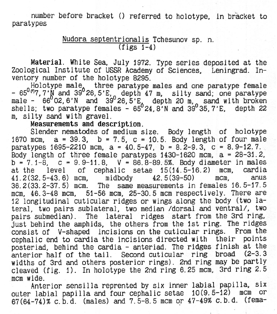number before bracket () referred to holotype, in bracket to paratypes

> Nudora septentrionalis Tchesunov sp. n.  $(figs 1-4)$

Material. White Sea, July 1972. Type series deposited at the Zoological Institute of USSR Academy of Sciences, Leningrad. Inventory number of the holotype 8295.

Holotype male, three paratype males and one paratype female -  $65^{0.07}$ , 7'N and 39 26, 5'E, depth 47 m, silty sand; one paratype male -  $66^{0}$  O2,6'N and 39<sup>0</sup> 26,5'E, depth 20 m, sand with broken shells; two paratype females -  $65^024$ ,8'N and 39 $9^035$ ,7'E, depth 22 m, silty sand with gravel.

Measurements and description.

Slender nematodes of medium size. Body length of holotype 1670 mcm, a = 39.3, b = 7.5, c = 10.5. Body length of four male paratypes 1695-2210 mcm,  $a = 40.5-47$ ,  $b = 8.2-9.3$ ,  $c = 8.9-12.7$ . Body length of three female paratypes 1430-1620 mcm, a = 28-31.2,  $b = 7.1 - 8$ ,  $c = 9.9 - 11.8$ ,  $V = 86.8 - 89.5%$ . Body diameter in males<br>at the level of cephalic setae 15(14, 5-16, 2) mcm, cardia at the level of cephalic setae  $15(14.5-16.2)$  mcm, 41.2(32.5-43.6) mcm, midbody 42.5(39-50) mcm, anus 36.2(33.2-37.5) mcm. The same measurements in females 16.5-17.5 mcm, 46.3-48 mcm, 51-56 mcm, 25-30.5 mcm respectively. There are 12 longitudinal cuticular ridges or wings along the body (two lateral, two pairs sublateral, two median /dorsal and ventral/, two pairs submedian). The lateral ridges start from the 3rd ring, just behind the amphids, the others from the 1st ring. The ridges consist of V-shaped incisions on the cuticular rings. From the cephalic end to Cardia the incisions directed with their points posteriad, behind the Cardia - anteriad. The ridges finish at the anterior half of the tail. Second cuticular ring broad (2-3.3 widths of 3rd and others posterior rings). 2nd ring may be partly cleaved (fig.  $1$ ). In holotype the 2nd ring 6.25 mcm, 3rd ring 2.5 mcm wide.

Anterior sensilla reprented by six inner labial papilla, Six outer labial papilla and four cephalic setae 10(9.5-12) mcm Or 67(64-74)% c. b.d. (males) and 7.5-8.5 mcm or 47-49% c. b.d. (fema-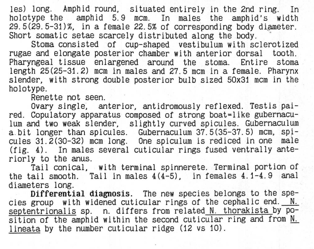les) long. Amphid round, situated entirely in the 2nd ring. In holotype the amphid 5.9 mcm. In males the amphid's width 29.5(29.5-31)%, in a female 22.5% of corresponding body diameter. Short somatic setae scarcely distributed along the body.

Stoma consisted of cup-shaped vestibulum with sclerotized rugae and elongate posterior chamber with anterior dorsal tooth. Pharyngeal tissue enlargened around the stoma. Entire stoma length 25(25-31.2) mcm in males and 27.5 mcm in a female. Pharynx slender, with strong double posterior bulb sized 50x31 mcm in the holotype.

Renette not seen.

Ovary single, anterior, antidromously reflexed. Testis paired. Copulatory apparatus composed of strong boat=like gubernaculum and two weak slender, slightly curved spicules. Gubernaculum a. bit longer than spicules. Gubernaculum 37.5(35-37.5) mcm, spicules 31.2(30-32) mcm long. One Spiculum is rediced in one male  $(fig. 4)$ . In males several cuticular rings fused ventrally anteriorly to the anus.

Tail conical, with terminal spinnerete. Terminal portion of the tail smooth. Tail in males 4(4-5), in females 4.1-4.9 anal diameters long.

Differential diagnosis. The new species belongs to the species group with widened cuticular rings of the cephalic end.  $N$ . septentrionalis sp. n. differs from related N. thorakista by Position of the amphid within the second cuticular ring and from N. lineata by the number cuticular ridge (12 vs 10).